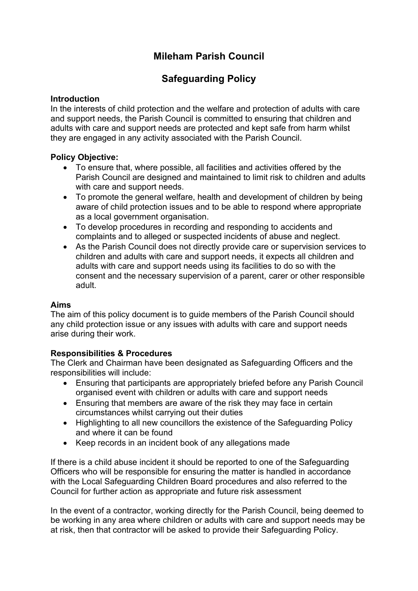# **Mileham Parish Council**

# **Safeguarding Policy**

#### **Introduction**

In the interests of child protection and the welfare and protection of adults with care and support needs, the Parish Council is committed to ensuring that children and adults with care and support needs are protected and kept safe from harm whilst they are engaged in any activity associated with the Parish Council.

## **Policy Objective:**

- To ensure that, where possible, all facilities and activities offered by the Parish Council are designed and maintained to limit risk to children and adults with care and support needs.
- To promote the general welfare, health and development of children by being aware of child protection issues and to be able to respond where appropriate as a local government organisation.
- To develop procedures in recording and responding to accidents and complaints and to alleged or suspected incidents of abuse and neglect.
- As the Parish Council does not directly provide care or supervision services to children and adults with care and support needs, it expects all children and adults with care and support needs using its facilities to do so with the consent and the necessary supervision of a parent, carer or other responsible adult.

## **Aims**

The aim of this policy document is to guide members of the Parish Council should any child protection issue or any issues with adults with care and support needs arise during their work.

## **Responsibilities & Procedures**

The Clerk and Chairman have been designated as Safeguarding Officers and the responsibilities will include:

- Ensuring that participants are appropriately briefed before any Parish Council organised event with children or adults with care and support needs
- Ensuring that members are aware of the risk they may face in certain circumstances whilst carrying out their duties
- Highlighting to all new councillors the existence of the Safeguarding Policy and where it can be found
- Keep records in an incident book of any allegations made

If there is a child abuse incident it should be reported to one of the Safeguarding Officers who will be responsible for ensuring the matter is handled in accordance with the Local Safeguarding Children Board procedures and also referred to the Council for further action as appropriate and future risk assessment

In the event of a contractor, working directly for the Parish Council, being deemed to be working in any area where children or adults with care and support needs may be at risk, then that contractor will be asked to provide their Safeguarding Policy.